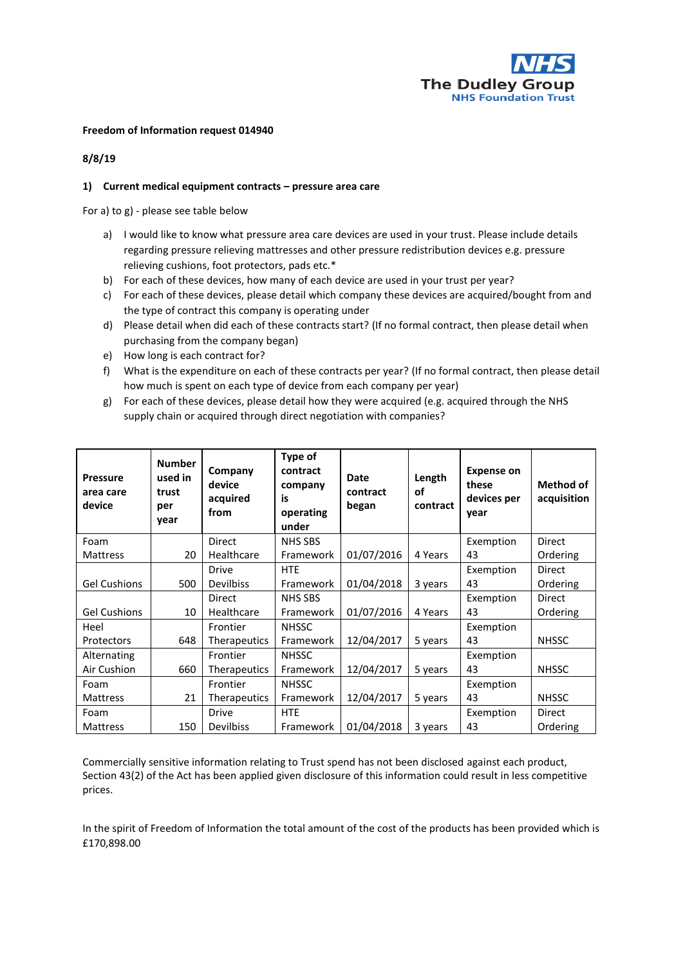

## **Freedom of Information request 014940**

## **8/8/19**

## **1) Current medical equipment contracts – pressure area care**

For a) to g) - please see table below

- a) I would like to know what pressure area care devices are used in your trust. Please include details regarding pressure relieving mattresses and other pressure redistribution devices e.g. pressure relieving cushions, foot protectors, pads etc.\*
- b) For each of these devices, how many of each device are used in your trust per year?
- c) For each of these devices, please detail which company these devices are acquired/bought from and the type of contract this company is operating under
- d) Please detail when did each of these contracts start? (If no formal contract, then please detail when purchasing from the company began)
- e) How long is each contract for?
- f) What is the expenditure on each of these contracts per year? (If no formal contract, then please detail how much is spent on each type of device from each company per year)
- g) For each of these devices, please detail how they were acquired (e.g. acquired through the NHS supply chain or acquired through direct negotiation with companies?

| <b>Pressure</b><br>area care<br>device | <b>Number</b><br>used in<br>trust<br>per<br>year | Company<br>device<br>acquired<br>from | Type of<br>contract<br>company<br>is<br>operating<br>under | <b>Date</b><br>contract<br>began | Length<br>οf<br>contract | <b>Expense on</b><br>these<br>devices per<br>year | Method of<br>acquisition |
|----------------------------------------|--------------------------------------------------|---------------------------------------|------------------------------------------------------------|----------------------------------|--------------------------|---------------------------------------------------|--------------------------|
| Foam                                   |                                                  | <b>Direct</b>                         | <b>NHS SBS</b>                                             |                                  |                          | Exemption                                         | Direct                   |
| <b>Mattress</b>                        | 20                                               | Healthcare                            | Framework                                                  | 01/07/2016                       | 4 Years                  | 43                                                | Ordering                 |
|                                        |                                                  | <b>Drive</b>                          | <b>HTE</b>                                                 |                                  |                          | Exemption                                         | Direct                   |
| <b>Gel Cushions</b>                    | 500                                              | <b>Devilbiss</b>                      | Framework                                                  | 01/04/2018                       | 3 years                  | 43                                                | Ordering                 |
|                                        |                                                  | <b>Direct</b>                         | <b>NHS SBS</b>                                             |                                  |                          | Exemption                                         | Direct                   |
| <b>Gel Cushions</b>                    | 10                                               | Healthcare                            | Framework                                                  | 01/07/2016                       | 4 Years                  | 43                                                | Ordering                 |
| Heel                                   |                                                  | Frontier                              | <b>NHSSC</b>                                               |                                  |                          | Exemption                                         |                          |
| Protectors                             | 648                                              | Therapeutics                          | Framework                                                  | 12/04/2017                       | 5 years                  | 43                                                | <b>NHSSC</b>             |
| Alternating                            |                                                  | Frontier                              | <b>NHSSC</b>                                               |                                  |                          | Exemption                                         |                          |
| Air Cushion                            | 660                                              | Therapeutics                          | Framework                                                  | 12/04/2017                       | 5 years                  | 43                                                | <b>NHSSC</b>             |
| Foam                                   |                                                  | Frontier                              | <b>NHSSC</b>                                               |                                  |                          | Exemption                                         |                          |
| Mattress                               | 21                                               | <b>Therapeutics</b>                   | Framework                                                  | 12/04/2017                       | 5 years                  | 43                                                | <b>NHSSC</b>             |
| Foam                                   |                                                  | <b>Drive</b>                          | <b>HTE</b>                                                 |                                  |                          | Exemption                                         | Direct                   |
| <b>Mattress</b>                        | 150                                              | <b>Devilbiss</b>                      | Framework                                                  | 01/04/2018                       | 3 years                  | 43                                                | Ordering                 |

Commercially sensitive information relating to Trust spend has not been disclosed against each product, Section 43(2) of the Act has been applied given disclosure of this information could result in less competitive prices.

In the spirit of Freedom of Information the total amount of the cost of the products has been provided which is £170,898.00